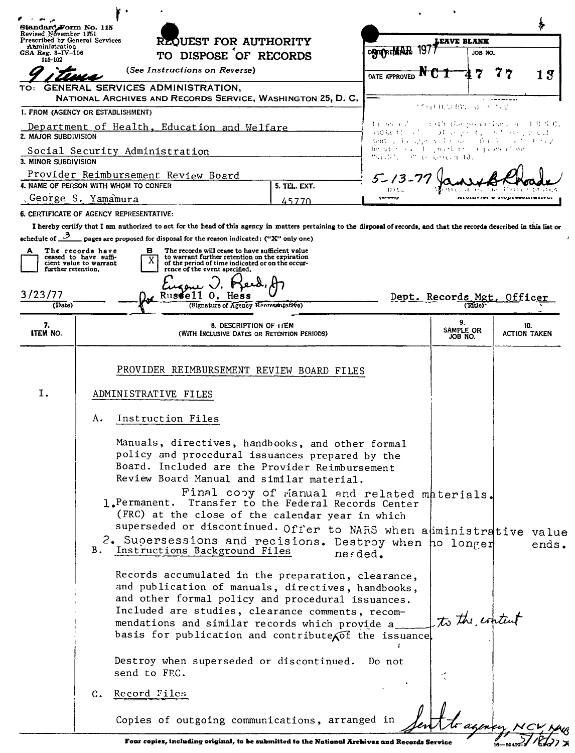| Standard Form No. 115<br>Revised November 1951                                                                                                                                               |                                                                     | REQUEST FOR AUTHORITY                                                                                                                                                                       |                                             | EAVE BLANK                                                        |                            |   |                            |
|----------------------------------------------------------------------------------------------------------------------------------------------------------------------------------------------|---------------------------------------------------------------------|---------------------------------------------------------------------------------------------------------------------------------------------------------------------------------------------|---------------------------------------------|-------------------------------------------------------------------|----------------------------|---|----------------------------|
| Prescribed by General Services<br>Atministration<br>GSA Reg. $3-\text{IV}-106$                                                                                                               |                                                                     | TO DISPOSE OF RECORDS                                                                                                                                                                       |                                             | DATEREMAN                                                         | JOB NO.                    |   |                            |
| 115-102                                                                                                                                                                                      |                                                                     | (See Instructions on Reverse)                                                                                                                                                               |                                             |                                                                   |                            |   |                            |
| TO:                                                                                                                                                                                          |                                                                     | GENERAL SERVICES ADMINISTRATION,                                                                                                                                                            |                                             | DATE APPROVED                                                     | 7                          | 7 | 13                         |
|                                                                                                                                                                                              |                                                                     | NATIONAL ARCHIVES AND RECORDS SERVICE, WASHINGTON 25, D. C.                                                                                                                                 |                                             |                                                                   |                            |   |                            |
|                                                                                                                                                                                              | 1. FROM (AGENCY OR ESTABLISHMENT)                                   |                                                                                                                                                                                             |                                             |                                                                   | 155111611101.00000011      |   |                            |
| ねつらう さいこうげき はんかんけ ちゅうう こしりろ 烏<br>Department of Health, Education and Welfare<br>aspect of the property and any book<br>2. MAJOR SUBDIVISION<br>nent , is specially done in the second string |                                                                     |                                                                                                                                                                                             |                                             |                                                                   |                            |   |                            |
|                                                                                                                                                                                              | Social Security Administration                                      |                                                                                                                                                                                             |                                             | be started in posting a percent on<br>Marchio (Pintonesse) and to |                            |   |                            |
| 3. MINOR SUBDIVISION                                                                                                                                                                         |                                                                     | Provider Reimbursement Review Board                                                                                                                                                         |                                             |                                                                   |                            |   |                            |
|                                                                                                                                                                                              | 4. NAME OF PERSON WITH WHOM TO CONFER                               |                                                                                                                                                                                             | 5. TEL. EXT.                                | $5 - 13$                                                          |                            |   |                            |
|                                                                                                                                                                                              | George S. Yamamura                                                  |                                                                                                                                                                                             | 45770                                       |                                                                   |                            |   |                            |
|                                                                                                                                                                                              | 6. CERTIFICATE OF AGENCY REPRESENTATIVE:                            |                                                                                                                                                                                             |                                             |                                                                   |                            |   |                            |
|                                                                                                                                                                                              |                                                                     | I hereby certify that I am authorized to act for the head of this agency in matters pertaining to the disposal of records, and that the records described in this list or                   |                                             |                                                                   |                            |   |                            |
| schedule of $\mathcal{L}$                                                                                                                                                                    |                                                                     | pages are proposed for disposal for the reason indicated: ("X" only one)                                                                                                                    |                                             |                                                                   |                            |   |                            |
| A.<br>further retention.                                                                                                                                                                     | The records have<br>ceased to have suffi-<br>cient value to warrant | The records will cease to have sufficient value<br>в<br>to warrant further retention on the expiration<br>of the period of time indicated or on the occur-<br>rence of the event specified. |                                             |                                                                   |                            |   |                            |
|                                                                                                                                                                                              |                                                                     |                                                                                                                                                                                             |                                             |                                                                   |                            |   |                            |
| 3/23/77<br>(Date)                                                                                                                                                                            |                                                                     | Russell O. Hess<br>(Signature of Agency Representative)                                                                                                                                     |                                             |                                                                   | Dept. Records Mgt. Officer |   |                            |
|                                                                                                                                                                                              |                                                                     |                                                                                                                                                                                             |                                             |                                                                   | 9.                         |   |                            |
| 7.<br><b>ITEM NO.</b>                                                                                                                                                                        |                                                                     | 8. DESCRIPTION OF 11EM<br>(WITH INCLUSIVE DATES OR RETENTION PERIODS)                                                                                                                       |                                             |                                                                   | SAMPLE OR<br>JOB NO.       |   | 10.<br><b>ACTION TAKEN</b> |
|                                                                                                                                                                                              |                                                                     |                                                                                                                                                                                             |                                             |                                                                   |                            |   |                            |
|                                                                                                                                                                                              |                                                                     |                                                                                                                                                                                             |                                             |                                                                   |                            |   |                            |
|                                                                                                                                                                                              |                                                                     | PROVIDER REIMBURSEMENT REVIEW BOARD FILES                                                                                                                                                   |                                             |                                                                   |                            |   |                            |
| Ι.                                                                                                                                                                                           |                                                                     | ADMINISTRATIVE FILES                                                                                                                                                                        |                                             |                                                                   |                            |   |                            |
|                                                                                                                                                                                              | А.                                                                  | Instruction Files                                                                                                                                                                           |                                             |                                                                   |                            |   |                            |
|                                                                                                                                                                                              |                                                                     | Manuals, directives, handbooks, and other formal<br>policy and procedural issuances prepared by the                                                                                         |                                             |                                                                   |                            |   |                            |
|                                                                                                                                                                                              |                                                                     | Board. Included are the Provider Reimbursement                                                                                                                                              |                                             |                                                                   |                            |   |                            |
|                                                                                                                                                                                              |                                                                     | Review Board Manual and similar material.                                                                                                                                                   |                                             |                                                                   |                            |   |                            |
|                                                                                                                                                                                              |                                                                     | l.Permanent. Transfer to the Federal Records Center                                                                                                                                         | Final copy of manual and related materials. |                                                                   |                            |   |                            |
|                                                                                                                                                                                              |                                                                     | (FRC) at the close of the calendar year in which                                                                                                                                            |                                             |                                                                   |                            |   |                            |
|                                                                                                                                                                                              |                                                                     | superseded or discontinued. Offer to NARS when a iministrative value                                                                                                                        |                                             |                                                                   |                            |   |                            |
|                                                                                                                                                                                              | в.                                                                  | 2. Supersessions and recisions. Destroy when ho longer                                                                                                                                      |                                             |                                                                   |                            |   | ends.                      |
|                                                                                                                                                                                              |                                                                     | Instructions Background Files                                                                                                                                                               | $ne$ $\epsilon$ ded.                        |                                                                   |                            |   |                            |
|                                                                                                                                                                                              |                                                                     | Records accumulated in the preparation, clearance,                                                                                                                                          |                                             |                                                                   |                            |   |                            |
|                                                                                                                                                                                              |                                                                     | and publication of manuals, directives, handbooks,                                                                                                                                          |                                             |                                                                   |                            |   |                            |
|                                                                                                                                                                                              |                                                                     | and other formal policy and procedural issuances.                                                                                                                                           |                                             |                                                                   |                            |   |                            |
|                                                                                                                                                                                              |                                                                     | Included are studies, clearance comments, recom-<br>mendations and similar records which provide a_                                                                                         |                                             |                                                                   | to the content             |   |                            |
|                                                                                                                                                                                              |                                                                     | basis for publication and contribute of the issuance                                                                                                                                        |                                             |                                                                   |                            |   |                            |
|                                                                                                                                                                                              |                                                                     |                                                                                                                                                                                             |                                             |                                                                   |                            |   |                            |
|                                                                                                                                                                                              |                                                                     | Destroy when superseded or discontinued.                                                                                                                                                    |                                             | Do not                                                            |                            |   |                            |
|                                                                                                                                                                                              |                                                                     | send to FRC.                                                                                                                                                                                |                                             |                                                                   |                            |   |                            |
|                                                                                                                                                                                              | C.                                                                  | Record Files                                                                                                                                                                                |                                             |                                                                   |                            |   |                            |
|                                                                                                                                                                                              |                                                                     |                                                                                                                                                                                             |                                             |                                                                   |                            |   |                            |
|                                                                                                                                                                                              |                                                                     | Copies of outgoing communications, arranged in                                                                                                                                              |                                             |                                                                   |                            |   |                            |
|                                                                                                                                                                                              |                                                                     | Four copies, including original, to be submitted to the National Archives and Records Service                                                                                               |                                             |                                                                   |                            |   |                            |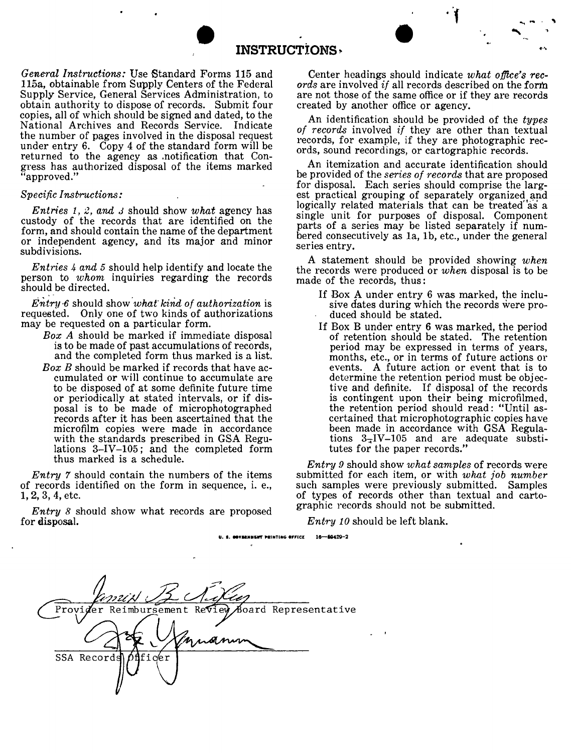

**INSTRUCTIONS ~**

*General Instructions:* Use Standard Forms 115 and 115a, obtainable from Supply Centers of the Federal Supply Service, General Services Administration, to obtain authority to dispose of records. Submit four copies, all of which should be signed and dated, to the National Archives and Records Service. Indicate the number of pages involved in the disposal request under entry 6. Copy 4 of the standard form wiII be returned to the agency as .notification that Congress has authorized disposal of the items marked "approved."

## *Specific Instructions:*

*Entries* 1, 2, *and <sup>J</sup>* should show *what* agency has custody of the records that are identified on the form, and should contain the name of the department or independent agency, and its major and minor subdivisions.

*Entries* 4 *and* 5 should help identify and locate the person to *whom* inquiries regarding the records should be directed.

*EntrY·6* should show *'what' kirid of authorization* is requested. Only one of two kinds of authorizations may be requested on a particular form.

- *Box A* should be marked if immediate disposal is to be made of past accumulations of records, and the completed form thus marked is a list.
- *Box B* should be marked if records that have accumulated or wiII continue to accumulate are to be disposed of at some definite future time or periodically at stated intervals, or if disposal is to be made of microphotographed records after it has been ascertained that the microfilm copies were made in accordance with the standards prescribed in GSA Regulations 3-IV-105; and the completed form thus marked is a schedule.

*Entry* 7 should contain the numbers of the items of records identified on the form in sequence, i. e., 1,2, 3, 4, etc.

*Entry* 8 should show what records are proposed for disposal.

Center headings should indicate *what office's rec- ords* are involved *if* all records described on the form are not those of the same office or if they are records created by another office or agency.

" - . , '" ..

An identification should be provided of the *types of records* involved *if* they are other than textual records, for example, if they are photographic records, sound recordings, or cartographic records.

An itemization and accurate identification should be provided of the *series of records* that are proposed for disposal. Each series should comprise the largest practical grouping of separately organized and logically related materials that can be treated as a single unit for purposes of disposal. Component parts of a series may be listed separately if numbered consecutively as la, 1b, etc., under the general series entry.

A statement should be provided showing *when* the records were produced or *when* disposal is to be made of the records, thus:

- If Box A under entry 6 was marked, the inclusive dates during which the records were produced should be stated.
- If Box B under entry 6 was marked, the period of retention should be stated. The retention period may be expressed in terms of years, months, etc., or in terms of future actions or events. A future action or event that is to determine the retention period must be objective and definite. If disposal of the records is contingent upon their being microfilmed, the retention period should read: "Until ascertained that microphotographic copies have been made in accordance with GSA Regulations  $3\overline{-1}V-105$  and are adequate substitutes for the paper records.

*Entry* 9 should show *what samples* of records were submitted for each item, or with *what job number* such samples were previously submitted. Samples of types of records other than textual and carto- graphic records should not be submitted.

*Entry 10* should be left blank.

**U.•. \_V .. NIISIft' HINTING ."Ict** 1~2

Provi Reimbursement Revi oard RepresentativeSSA Record Ιeτ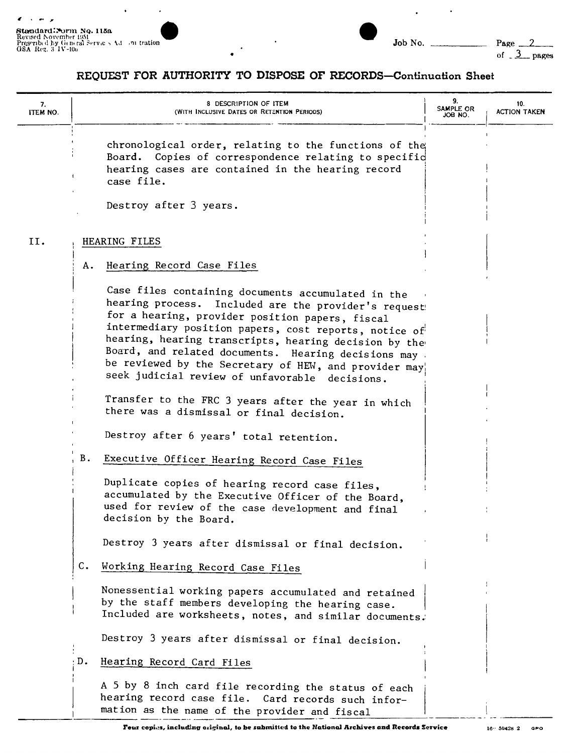$\ddot{\phantom{0}}$ 

 $\hat{\boldsymbol{\epsilon}}$ 



 $\ddot{\phantom{0}}$ 

 $\mathcal{A}$ 

 $Page_2$ of  $3$  pages

## REQUEST FOR AUTHORITY TO DISPOSE OF RECORDS-Continuation Sheet

 $\cdot$ 

| 7.<br>ITEM NO. | 8 DESCRIPTION OF ITEM<br>(WITH INCLUSIVE DATES OR RETENTION PERIODS)                                                                                                                                                                                                                                                                                                                                                                                 | 9.<br>SAMPLE OR<br>JOB NO. | 10.<br><b>ACTION TAKEN</b> |
|----------------|------------------------------------------------------------------------------------------------------------------------------------------------------------------------------------------------------------------------------------------------------------------------------------------------------------------------------------------------------------------------------------------------------------------------------------------------------|----------------------------|----------------------------|
|                | chronological order, relating to the functions of the<br>Board. Copies of correspondence relating to specifid<br>hearing cases are contained in the hearing record<br>case file.                                                                                                                                                                                                                                                                     |                            |                            |
|                | Destroy after 3 years.                                                                                                                                                                                                                                                                                                                                                                                                                               |                            |                            |
| II.            | HEARING FILES                                                                                                                                                                                                                                                                                                                                                                                                                                        |                            |                            |
|                | Hearing Record Case Files<br>А.                                                                                                                                                                                                                                                                                                                                                                                                                      |                            |                            |
|                | Case files containing documents accumulated in the<br>hearing process.<br>Included are the provider's request<br>for a hearing, provider position papers, fiscal<br>intermediary position papers, cost reports, notice of<br>hearing, hearing transcripts, hearing decision by the<br>Board, and related documents. Hearing decisions may<br>be reviewed by the Secretary of HEW, and provider may<br>seek judicial review of unfavorable decisions. |                            |                            |
|                | Transfer to the FRC 3 years after the year in which<br>there was a dismissal or final decision.                                                                                                                                                                                                                                                                                                                                                      |                            |                            |
|                | Destroy after 6 years' total retention.                                                                                                                                                                                                                                                                                                                                                                                                              |                            |                            |
|                | В.<br>Executive Officer Hearing Record Case Files                                                                                                                                                                                                                                                                                                                                                                                                    |                            |                            |
|                | Duplicate copies of hearing record case files,<br>accumulated by the Executive Officer of the Board,<br>used for review of the case development and final<br>decision by the Board.                                                                                                                                                                                                                                                                  |                            |                            |
|                | Destroy 3 years after dismissal or final decision.                                                                                                                                                                                                                                                                                                                                                                                                   |                            |                            |
|                | $c_{\bullet}$<br>Working Hearing Record Case Files                                                                                                                                                                                                                                                                                                                                                                                                   |                            |                            |
|                | Nonessential working papers accumulated and retained<br>by the staff members developing the hearing case.<br>Included are worksheets, notes, and similar documents.                                                                                                                                                                                                                                                                                  |                            |                            |
|                | Destroy 3 years after dismissal or final decision.                                                                                                                                                                                                                                                                                                                                                                                                   |                            |                            |
|                | $\cdot$ D.<br>Hearing Record Card Files                                                                                                                                                                                                                                                                                                                                                                                                              |                            |                            |
|                | A 5 by 8 inch card file recording the status of each<br>hearing record case file. Card records such infor-<br>mation as the name of the provider and fiscal                                                                                                                                                                                                                                                                                          |                            |                            |